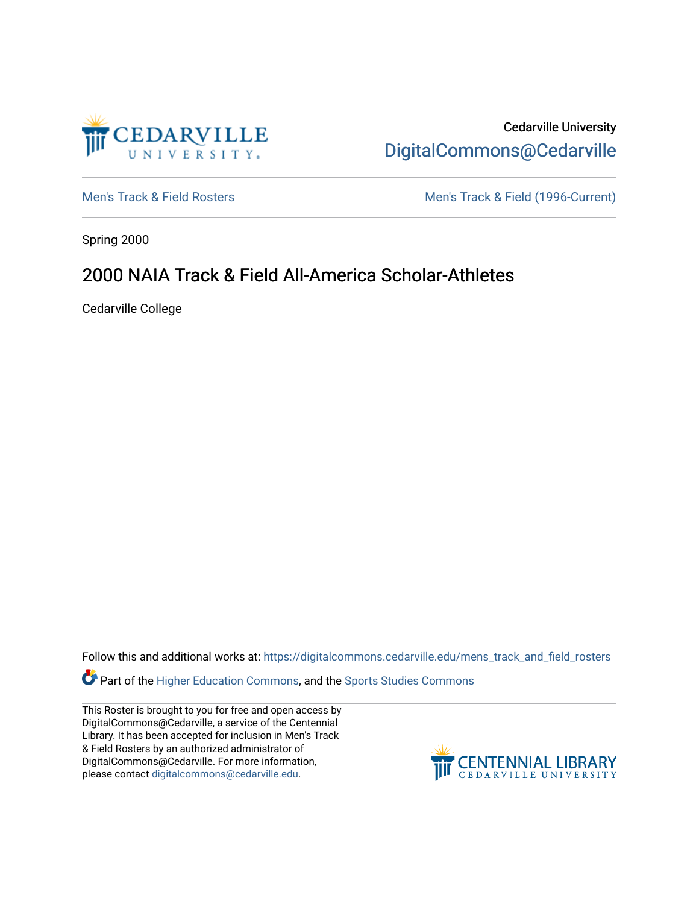

Cedarville University [DigitalCommons@Cedarville](https://digitalcommons.cedarville.edu/) 

[Men's Track & Field Rosters](https://digitalcommons.cedarville.edu/mens_track_and_field_rosters) Men's Track & Field (1996-Current)

Spring 2000

## 2000 NAIA Track & Field All-America Scholar-Athletes

Cedarville College

Follow this and additional works at: [https://digitalcommons.cedarville.edu/mens\\_track\\_and\\_field\\_rosters](https://digitalcommons.cedarville.edu/mens_track_and_field_rosters?utm_source=digitalcommons.cedarville.edu%2Fmens_track_and_field_rosters%2F23&utm_medium=PDF&utm_campaign=PDFCoverPages)

Part of the [Higher Education Commons,](http://network.bepress.com/hgg/discipline/1245?utm_source=digitalcommons.cedarville.edu%2Fmens_track_and_field_rosters%2F23&utm_medium=PDF&utm_campaign=PDFCoverPages) and the [Sports Studies Commons](http://network.bepress.com/hgg/discipline/1198?utm_source=digitalcommons.cedarville.edu%2Fmens_track_and_field_rosters%2F23&utm_medium=PDF&utm_campaign=PDFCoverPages) 

This Roster is brought to you for free and open access by DigitalCommons@Cedarville, a service of the Centennial Library. It has been accepted for inclusion in Men's Track & Field Rosters by an authorized administrator of DigitalCommons@Cedarville. For more information, please contact [digitalcommons@cedarville.edu](mailto:digitalcommons@cedarville.edu).